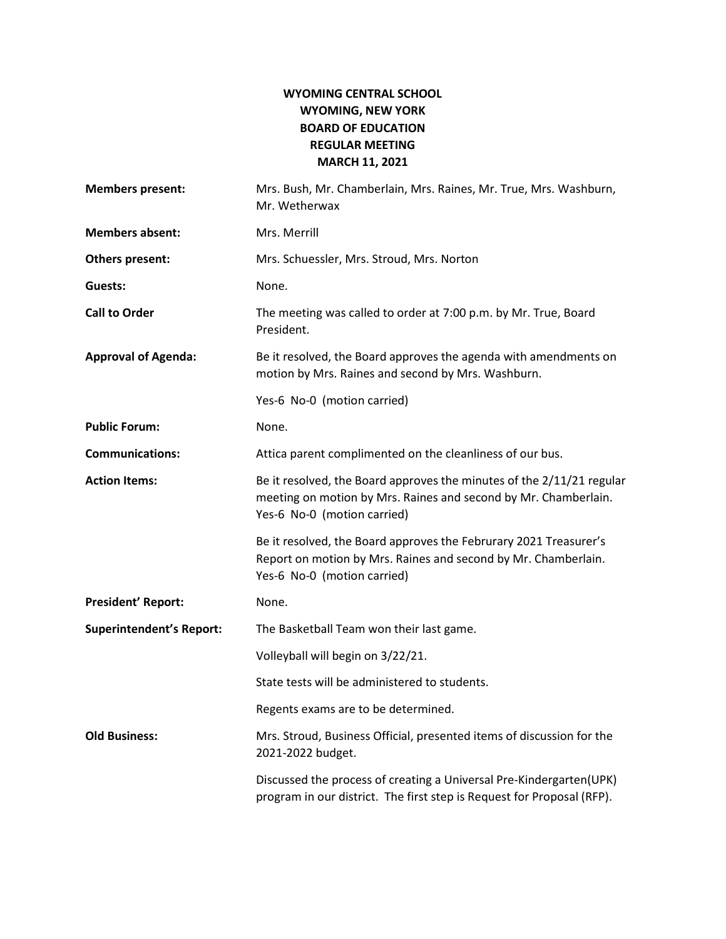## WYOMING CENTRAL SCHOOL WYOMING, NEW YORK BOARD OF EDUCATION REGULAR MEETING MARCH 11, 2021

| <b>Members present:</b>         | Mrs. Bush, Mr. Chamberlain, Mrs. Raines, Mr. True, Mrs. Washburn,<br>Mr. Wetherwax                                                                                      |
|---------------------------------|-------------------------------------------------------------------------------------------------------------------------------------------------------------------------|
| <b>Members absent:</b>          | Mrs. Merrill                                                                                                                                                            |
| Others present:                 | Mrs. Schuessler, Mrs. Stroud, Mrs. Norton                                                                                                                               |
| Guests:                         | None.                                                                                                                                                                   |
| <b>Call to Order</b>            | The meeting was called to order at 7:00 p.m. by Mr. True, Board<br>President.                                                                                           |
| <b>Approval of Agenda:</b>      | Be it resolved, the Board approves the agenda with amendments on<br>motion by Mrs. Raines and second by Mrs. Washburn.                                                  |
|                                 | Yes-6 No-0 (motion carried)                                                                                                                                             |
| <b>Public Forum:</b>            | None.                                                                                                                                                                   |
| <b>Communications:</b>          | Attica parent complimented on the cleanliness of our bus.                                                                                                               |
| <b>Action Items:</b>            | Be it resolved, the Board approves the minutes of the 2/11/21 regular<br>meeting on motion by Mrs. Raines and second by Mr. Chamberlain.<br>Yes-6 No-0 (motion carried) |
|                                 | Be it resolved, the Board approves the Februrary 2021 Treasurer's<br>Report on motion by Mrs. Raines and second by Mr. Chamberlain.<br>Yes-6 No-0 (motion carried)      |
| <b>President' Report:</b>       | None.                                                                                                                                                                   |
| <b>Superintendent's Report:</b> | The Basketball Team won their last game.                                                                                                                                |
|                                 | Volleyball will begin on 3/22/21.                                                                                                                                       |
|                                 | State tests will be administered to students.                                                                                                                           |
|                                 | Regents exams are to be determined.                                                                                                                                     |
| <b>Old Business:</b>            | Mrs. Stroud, Business Official, presented items of discussion for the<br>2021-2022 budget.                                                                              |
|                                 | Discussed the process of creating a Universal Pre-Kindergarten(UPK)<br>program in our district. The first step is Request for Proposal (RFP).                           |
|                                 |                                                                                                                                                                         |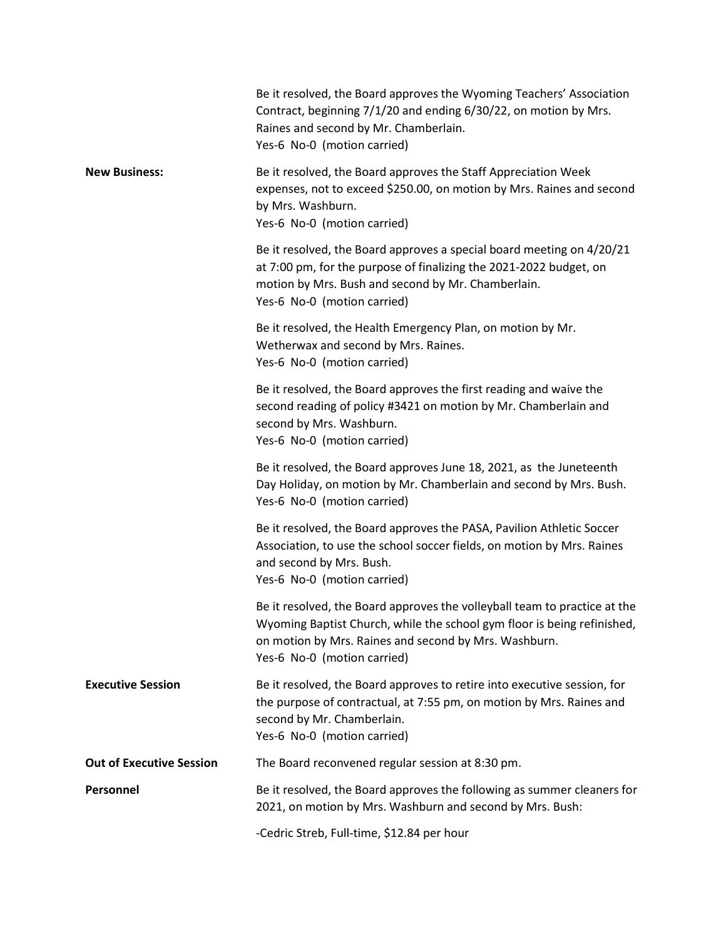|                                 | Be it resolved, the Board approves the Wyoming Teachers' Association<br>Contract, beginning 7/1/20 and ending 6/30/22, on motion by Mrs.<br>Raines and second by Mr. Chamberlain.<br>Yes-6 No-0 (motion carried)                             |
|---------------------------------|----------------------------------------------------------------------------------------------------------------------------------------------------------------------------------------------------------------------------------------------|
| <b>New Business:</b>            | Be it resolved, the Board approves the Staff Appreciation Week<br>expenses, not to exceed \$250.00, on motion by Mrs. Raines and second<br>by Mrs. Washburn.<br>Yes-6 No-0 (motion carried)                                                  |
|                                 | Be it resolved, the Board approves a special board meeting on 4/20/21<br>at 7:00 pm, for the purpose of finalizing the 2021-2022 budget, on<br>motion by Mrs. Bush and second by Mr. Chamberlain.<br>Yes-6 No-0 (motion carried)             |
|                                 | Be it resolved, the Health Emergency Plan, on motion by Mr.<br>Wetherwax and second by Mrs. Raines.<br>Yes-6 No-0 (motion carried)                                                                                                           |
|                                 | Be it resolved, the Board approves the first reading and waive the<br>second reading of policy #3421 on motion by Mr. Chamberlain and<br>second by Mrs. Washburn.<br>Yes-6 No-0 (motion carried)                                             |
|                                 | Be it resolved, the Board approves June 18, 2021, as the Juneteenth<br>Day Holiday, on motion by Mr. Chamberlain and second by Mrs. Bush.<br>Yes-6 No-0 (motion carried)                                                                     |
|                                 | Be it resolved, the Board approves the PASA, Pavilion Athletic Soccer<br>Association, to use the school soccer fields, on motion by Mrs. Raines<br>and second by Mrs. Bush.<br>Yes-6 No-0 (motion carried)                                   |
|                                 | Be it resolved, the Board approves the volleyball team to practice at the<br>Wyoming Baptist Church, while the school gym floor is being refinished,<br>on motion by Mrs. Raines and second by Mrs. Washburn.<br>Yes-6 No-0 (motion carried) |
| <b>Executive Session</b>        | Be it resolved, the Board approves to retire into executive session, for<br>the purpose of contractual, at 7:55 pm, on motion by Mrs. Raines and<br>second by Mr. Chamberlain.<br>Yes-6 No-0 (motion carried)                                |
| <b>Out of Executive Session</b> | The Board reconvened regular session at 8:30 pm.                                                                                                                                                                                             |
| Personnel                       | Be it resolved, the Board approves the following as summer cleaners for<br>2021, on motion by Mrs. Washburn and second by Mrs. Bush:                                                                                                         |
|                                 | -Cedric Streb, Full-time, \$12.84 per hour                                                                                                                                                                                                   |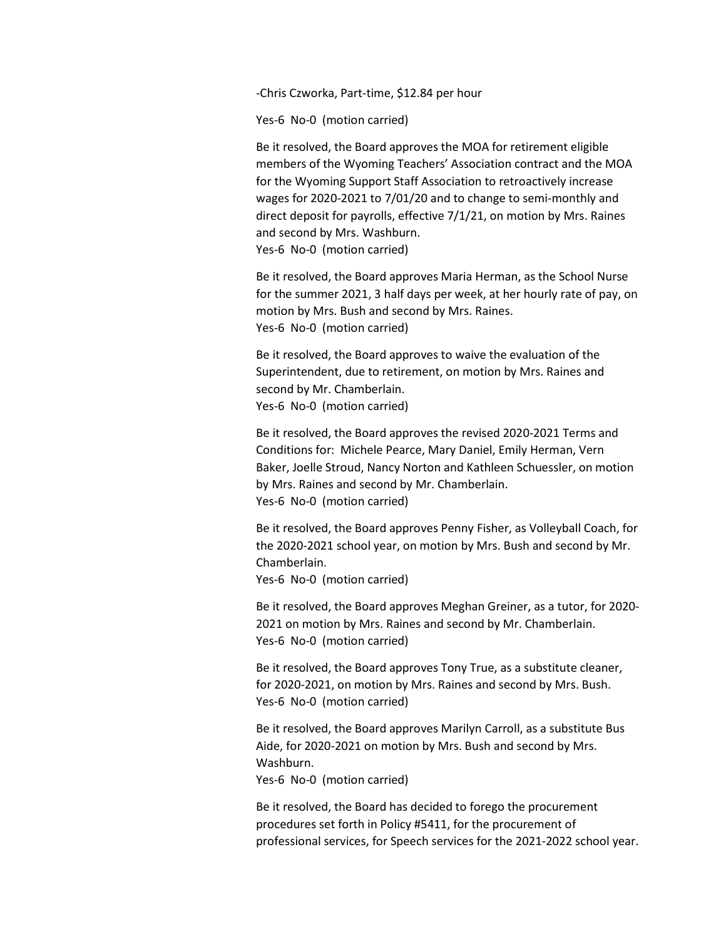-Chris Czworka, Part-time, \$12.84 per hour

Yes-6 No-0 (motion carried)

 Be it resolved, the Board approves the MOA for retirement eligible members of the Wyoming Teachers' Association contract and the MOA for the Wyoming Support Staff Association to retroactively increase wages for 2020-2021 to 7/01/20 and to change to semi-monthly and direct deposit for payrolls, effective 7/1/21, on motion by Mrs. Raines and second by Mrs. Washburn. Yes-6 No-0 (motion carried)

 Be it resolved, the Board approves Maria Herman, as the School Nurse for the summer 2021, 3 half days per week, at her hourly rate of pay, on motion by Mrs. Bush and second by Mrs. Raines. Yes-6 No-0 (motion carried)

 Be it resolved, the Board approves to waive the evaluation of the Superintendent, due to retirement, on motion by Mrs. Raines and second by Mr. Chamberlain. Yes-6 No-0 (motion carried)

 Be it resolved, the Board approves the revised 2020-2021 Terms and Conditions for: Michele Pearce, Mary Daniel, Emily Herman, Vern Baker, Joelle Stroud, Nancy Norton and Kathleen Schuessler, on motion by Mrs. Raines and second by Mr. Chamberlain. Yes-6 No-0 (motion carried)

 Be it resolved, the Board approves Penny Fisher, as Volleyball Coach, for the 2020-2021 school year, on motion by Mrs. Bush and second by Mr. Chamberlain.

Yes-6 No-0 (motion carried)

 Be it resolved, the Board approves Meghan Greiner, as a tutor, for 2020- 2021 on motion by Mrs. Raines and second by Mr. Chamberlain. Yes-6 No-0 (motion carried)

 Be it resolved, the Board approves Tony True, as a substitute cleaner, for 2020-2021, on motion by Mrs. Raines and second by Mrs. Bush. Yes-6 No-0 (motion carried)

 Be it resolved, the Board approves Marilyn Carroll, as a substitute Bus Aide, for 2020-2021 on motion by Mrs. Bush and second by Mrs. Washburn.

Yes-6 No-0 (motion carried)

 Be it resolved, the Board has decided to forego the procurement procedures set forth in Policy #5411, for the procurement of professional services, for Speech services for the 2021-2022 school year.